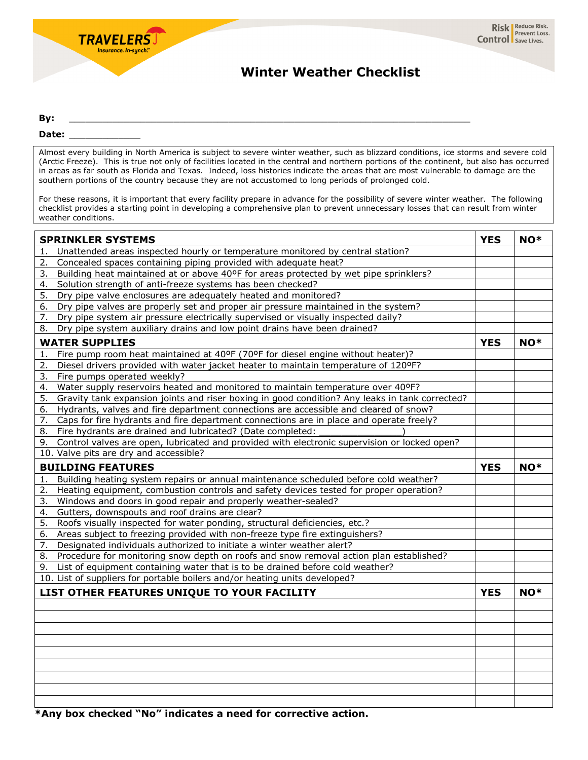

## **Winter Weather Checklist**

**By:** \_\_\_\_\_\_\_\_\_\_\_\_\_\_\_\_\_\_\_\_\_\_\_\_\_\_\_\_\_\_\_\_\_\_\_\_\_\_\_\_\_\_\_\_\_\_\_\_\_\_\_\_\_\_\_\_\_\_\_\_\_\_\_\_\_\_\_\_\_\_\_\_\_

## Date:

Almost every building in North America is subject to severe winter weather, such as blizzard conditions, ice storms and severe cold (Arctic Freeze). This is true not only of facilities located in the central and northern portions of the continent, but also has occurred in areas as far south as Florida and Texas. Indeed, loss histories indicate the areas that are most vulnerable to damage are the southern portions of the country because they are not accustomed to long periods of prolonged cold.

For these reasons, it is important that every facility prepare in advance for the possibility of severe winter weather. The following checklist provides a starting point in developing a comprehensive plan to prevent unnecessary losses that can result from winter weather conditions.

|                                             | <b>SPRINKLER SYSTEMS</b>                                                                       | <b>YES</b> | NO* |
|---------------------------------------------|------------------------------------------------------------------------------------------------|------------|-----|
| 1.                                          | Unattended areas inspected hourly or temperature monitored by central station?                 |            |     |
| 2.                                          | Concealed spaces containing piping provided with adequate heat?                                |            |     |
| 3.                                          | Building heat maintained at or above 40°F for areas protected by wet pipe sprinklers?          |            |     |
| 4.                                          | Solution strength of anti-freeze systems has been checked?                                     |            |     |
| 5.                                          | Dry pipe valve enclosures are adequately heated and monitored?                                 |            |     |
| 6.                                          | Dry pipe valves are properly set and proper air pressure maintained in the system?             |            |     |
| 7.                                          | Dry pipe system air pressure electrically supervised or visually inspected daily?              |            |     |
| 8.                                          | Dry pipe system auxiliary drains and low point drains have been drained?                       |            |     |
| <b>WATER SUPPLIES</b>                       |                                                                                                | <b>YES</b> | NO* |
| 1.                                          | Fire pump room heat maintained at 40°F (70°F for diesel engine without heater)?                |            |     |
| 2.                                          | Diesel drivers provided with water jacket heater to maintain temperature of 120ºF?             |            |     |
| 3.                                          | Fire pumps operated weekly?                                                                    |            |     |
| 4.                                          | Water supply reservoirs heated and monitored to maintain temperature over 40°F?                |            |     |
| 5.                                          | Gravity tank expansion joints and riser boxing in good condition? Any leaks in tank corrected? |            |     |
| 6.                                          | Hydrants, valves and fire department connections are accessible and cleared of snow?           |            |     |
| 7.                                          | Caps for fire hydrants and fire department connections are in place and operate freely?        |            |     |
| 8.                                          | Fire hydrants are drained and lubricated? (Date completed:                                     |            |     |
| 9.                                          | Control valves are open, lubricated and provided with electronic supervision or locked open?   |            |     |
|                                             | 10. Valve pits are dry and accessible?                                                         |            |     |
|                                             | <b>BUILDING FEATURES</b>                                                                       | <b>YES</b> | NO* |
| 1.                                          | Building heating system repairs or annual maintenance scheduled before cold weather?           |            |     |
| 2.                                          | Heating equipment, combustion controls and safety devices tested for proper operation?         |            |     |
| 3.                                          | Windows and doors in good repair and properly weather-sealed?                                  |            |     |
| 4.                                          | Gutters, downspouts and roof drains are clear?                                                 |            |     |
| 5.                                          | Roofs visually inspected for water ponding, structural deficiencies, etc.?                     |            |     |
| 6.                                          | Areas subject to freezing provided with non-freeze type fire extinguishers?                    |            |     |
| 7.                                          | Designated individuals authorized to initiate a winter weather alert?                          |            |     |
| 8.                                          | Procedure for monitoring snow depth on roofs and snow removal action plan established?         |            |     |
| 9.                                          | List of equipment containing water that is to be drained before cold weather?                  |            |     |
|                                             | 10. List of suppliers for portable boilers and/or heating units developed?                     |            |     |
| LIST OTHER FEATURES UNIQUE TO YOUR FACILITY |                                                                                                | <b>YES</b> | NO* |
|                                             |                                                                                                |            |     |
|                                             |                                                                                                |            |     |
|                                             |                                                                                                |            |     |
|                                             |                                                                                                |            |     |
|                                             |                                                                                                |            |     |
|                                             |                                                                                                |            |     |
|                                             |                                                                                                |            |     |
|                                             |                                                                                                |            |     |
|                                             |                                                                                                |            |     |

**\*Any box checked "No" indicates a need for corrective action.**